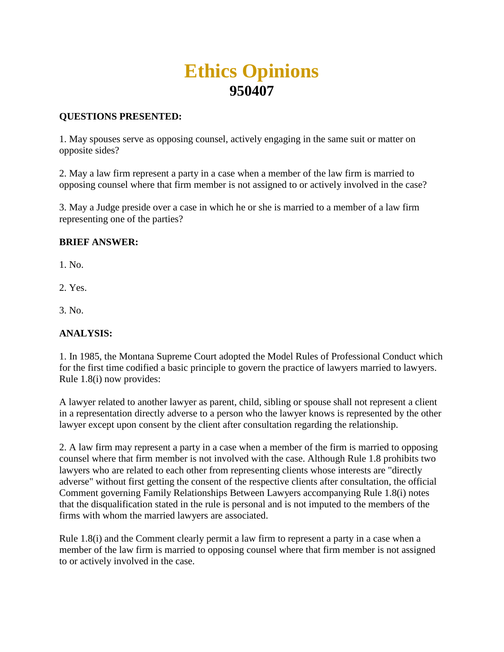# **Ethics Opinions 950407**

#### **QUESTIONS PRESENTED:**

1. May spouses serve as opposing counsel, actively engaging in the same suit or matter on opposite sides?

2. May a law firm represent a party in a case when a member of the law firm is married to opposing counsel where that firm member is not assigned to or actively involved in the case?

3. May a Judge preside over a case in which he or she is married to a member of a law firm representing one of the parties?

### **BRIEF ANSWER:**

1. No.

2. Yes.

3. No.

### **ANALYSIS:**

1. In 1985, the Montana Supreme Court adopted the Model Rules of Professional Conduct which for the first time codified a basic principle to govern the practice of lawyers married to lawyers. Rule 1.8(i) now provides:

A lawyer related to another lawyer as parent, child, sibling or spouse shall not represent a client in a representation directly adverse to a person who the lawyer knows is represented by the other lawyer except upon consent by the client after consultation regarding the relationship.

2. A law firm may represent a party in a case when a member of the firm is married to opposing counsel where that firm member is not involved with the case. Although Rule 1.8 prohibits two lawyers who are related to each other from representing clients whose interests are "directly adverse" without first getting the consent of the respective clients after consultation, the official Comment governing Family Relationships Between Lawyers accompanying Rule 1.8(i) notes that the disqualification stated in the rule is personal and is not imputed to the members of the firms with whom the married lawyers are associated.

Rule 1.8(i) and the Comment clearly permit a law firm to represent a party in a case when a member of the law firm is married to opposing counsel where that firm member is not assigned to or actively involved in the case.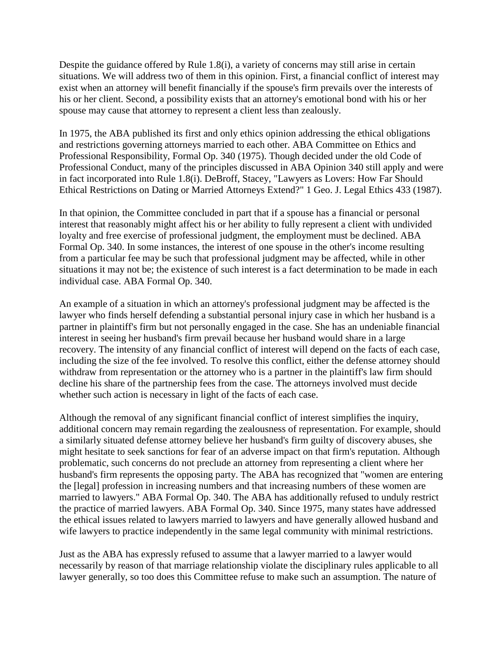Despite the guidance offered by Rule 1.8(i), a variety of concerns may still arise in certain situations. We will address two of them in this opinion. First, a financial conflict of interest may exist when an attorney will benefit financially if the spouse's firm prevails over the interests of his or her client. Second, a possibility exists that an attorney's emotional bond with his or her spouse may cause that attorney to represent a client less than zealously.

In 1975, the ABA published its first and only ethics opinion addressing the ethical obligations and restrictions governing attorneys married to each other. ABA Committee on Ethics and Professional Responsibility, Formal Op. 340 (1975). Though decided under the old Code of Professional Conduct, many of the principles discussed in ABA Opinion 340 still apply and were in fact incorporated into Rule 1.8(i). DeBroff, Stacey, "Lawyers as Lovers: How Far Should Ethical Restrictions on Dating or Married Attorneys Extend?" 1 Geo. J. Legal Ethics 433 (1987).

In that opinion, the Committee concluded in part that if a spouse has a financial or personal interest that reasonably might affect his or her ability to fully represent a client with undivided loyalty and free exercise of professional judgment, the employment must be declined. ABA Formal Op. 340. In some instances, the interest of one spouse in the other's income resulting from a particular fee may be such that professional judgment may be affected, while in other situations it may not be; the existence of such interest is a fact determination to be made in each individual case. ABA Formal Op. 340.

An example of a situation in which an attorney's professional judgment may be affected is the lawyer who finds herself defending a substantial personal injury case in which her husband is a partner in plaintiff's firm but not personally engaged in the case. She has an undeniable financial interest in seeing her husband's firm prevail because her husband would share in a large recovery. The intensity of any financial conflict of interest will depend on the facts of each case, including the size of the fee involved. To resolve this conflict, either the defense attorney should withdraw from representation or the attorney who is a partner in the plaintiff's law firm should decline his share of the partnership fees from the case. The attorneys involved must decide whether such action is necessary in light of the facts of each case.

Although the removal of any significant financial conflict of interest simplifies the inquiry, additional concern may remain regarding the zealousness of representation. For example, should a similarly situated defense attorney believe her husband's firm guilty of discovery abuses, she might hesitate to seek sanctions for fear of an adverse impact on that firm's reputation. Although problematic, such concerns do not preclude an attorney from representing a client where her husband's firm represents the opposing party. The ABA has recognized that "women are entering the [legal] profession in increasing numbers and that increasing numbers of these women are married to lawyers." ABA Formal Op. 340. The ABA has additionally refused to unduly restrict the practice of married lawyers. ABA Formal Op. 340. Since 1975, many states have addressed the ethical issues related to lawyers married to lawyers and have generally allowed husband and wife lawyers to practice independently in the same legal community with minimal restrictions.

Just as the ABA has expressly refused to assume that a lawyer married to a lawyer would necessarily by reason of that marriage relationship violate the disciplinary rules applicable to all lawyer generally, so too does this Committee refuse to make such an assumption. The nature of